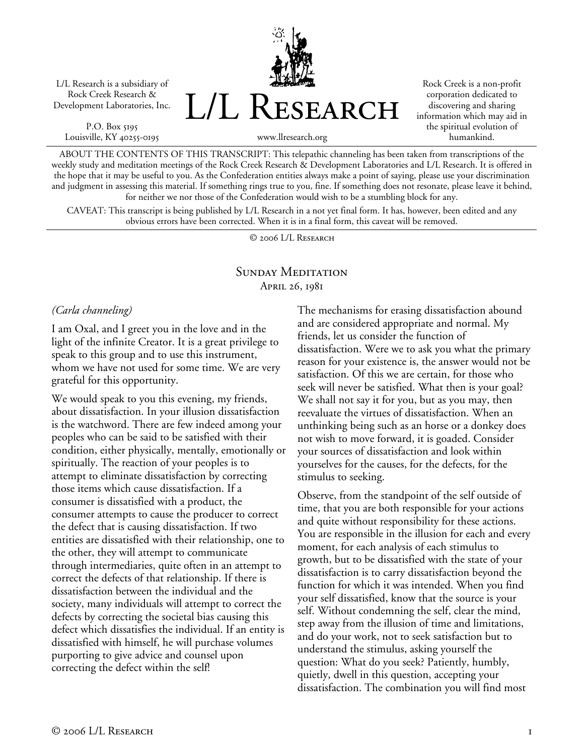L/L Research is a subsidiary of Rock Creek Research & Development Laboratories, Inc.

P.O. Box 5195 Louisville, KY 40255-0195 L/L Research

Rock Creek is a non-profit corporation dedicated to discovering and sharing information which may aid in the spiritual evolution of humankind.

www.llresearch.org

ABOUT THE CONTENTS OF THIS TRANSCRIPT: This telepathic channeling has been taken from transcriptions of the weekly study and meditation meetings of the Rock Creek Research & Development Laboratories and L/L Research. It is offered in the hope that it may be useful to you. As the Confederation entities always make a point of saying, please use your discrimination and judgment in assessing this material. If something rings true to you, fine. If something does not resonate, please leave it behind, for neither we nor those of the Confederation would wish to be a stumbling block for any.

CAVEAT: This transcript is being published by L/L Research in a not yet final form. It has, however, been edited and any obvious errors have been corrected. When it is in a final form, this caveat will be removed.

© 2006 L/L Research

### SUNDAY MEDITATION April 26, 1981

#### *(Carla channeling)*

I am Oxal, and I greet you in the love and in the light of the infinite Creator. It is a great privilege to speak to this group and to use this instrument, whom we have not used for some time. We are very grateful for this opportunity.

We would speak to you this evening, my friends, about dissatisfaction. In your illusion dissatisfaction is the watchword. There are few indeed among your peoples who can be said to be satisfied with their condition, either physically, mentally, emotionally or spiritually. The reaction of your peoples is to attempt to eliminate dissatisfaction by correcting those items which cause dissatisfaction. If a consumer is dissatisfied with a product, the consumer attempts to cause the producer to correct the defect that is causing dissatisfaction. If two entities are dissatisfied with their relationship, one to the other, they will attempt to communicate through intermediaries, quite often in an attempt to correct the defects of that relationship. If there is dissatisfaction between the individual and the society, many individuals will attempt to correct the defects by correcting the societal bias causing this defect which dissatisfies the individual. If an entity is dissatisfied with himself, he will purchase volumes purporting to give advice and counsel upon correcting the defect within the self!

The mechanisms for erasing dissatisfaction abound and are considered appropriate and normal. My friends, let us consider the function of dissatisfaction. Were we to ask you what the primary reason for your existence is, the answer would not be satisfaction. Of this we are certain, for those who seek will never be satisfied. What then is your goal? We shall not say it for you, but as you may, then reevaluate the virtues of dissatisfaction. When an unthinking being such as an horse or a donkey does not wish to move forward, it is goaded. Consider your sources of dissatisfaction and look within yourselves for the causes, for the defects, for the stimulus to seeking.

Observe, from the standpoint of the self outside of time, that you are both responsible for your actions and quite without responsibility for these actions. You are responsible in the illusion for each and every moment, for each analysis of each stimulus to growth, but to be dissatisfied with the state of your dissatisfaction is to carry dissatisfaction beyond the function for which it was intended. When you find your self dissatisfied, know that the source is your self. Without condemning the self, clear the mind, step away from the illusion of time and limitations, and do your work, not to seek satisfaction but to understand the stimulus, asking yourself the question: What do you seek? Patiently, humbly, quietly, dwell in this question, accepting your dissatisfaction. The combination you will find most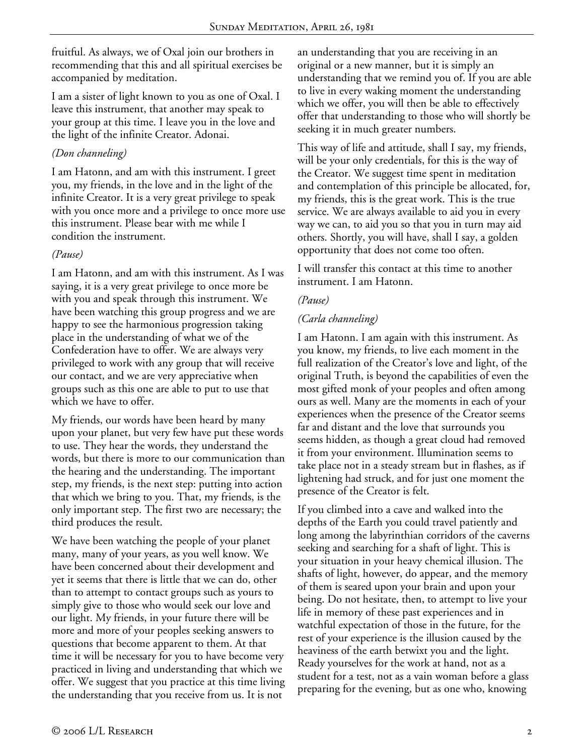fruitful. As always, we of Oxal join our brothers in recommending that this and all spiritual exercises be accompanied by meditation.

I am a sister of light known to you as one of Oxal. I leave this instrument, that another may speak to your group at this time. I leave you in the love and the light of the infinite Creator. Adonai.

## *(Don channeling)*

I am Hatonn, and am with this instrument. I greet you, my friends, in the love and in the light of the infinite Creator. It is a very great privilege to speak with you once more and a privilege to once more use this instrument. Please bear with me while I condition the instrument.

# *(Pause)*

I am Hatonn, and am with this instrument. As I was saying, it is a very great privilege to once more be with you and speak through this instrument. We have been watching this group progress and we are happy to see the harmonious progression taking place in the understanding of what we of the Confederation have to offer. We are always very privileged to work with any group that will receive our contact, and we are very appreciative when groups such as this one are able to put to use that which we have to offer.

My friends, our words have been heard by many upon your planet, but very few have put these words to use. They hear the words, they understand the words, but there is more to our communication than the hearing and the understanding. The important step, my friends, is the next step: putting into action that which we bring to you. That, my friends, is the only important step. The first two are necessary; the third produces the result.

We have been watching the people of your planet many, many of your years, as you well know. We have been concerned about their development and yet it seems that there is little that we can do, other than to attempt to contact groups such as yours to simply give to those who would seek our love and our light. My friends, in your future there will be more and more of your peoples seeking answers to questions that become apparent to them. At that time it will be necessary for you to have become very practiced in living and understanding that which we offer. We suggest that you practice at this time living the understanding that you receive from us. It is not

an understanding that you are receiving in an original or a new manner, but it is simply an understanding that we remind you of. If you are able to live in every waking moment the understanding which we offer, you will then be able to effectively offer that understanding to those who will shortly be seeking it in much greater numbers.

This way of life and attitude, shall I say, my friends, will be your only credentials, for this is the way of the Creator. We suggest time spent in meditation and contemplation of this principle be allocated, for, my friends, this is the great work. This is the true service. We are always available to aid you in every way we can, to aid you so that you in turn may aid others. Shortly, you will have, shall I say, a golden opportunity that does not come too often.

I will transfer this contact at this time to another instrument. I am Hatonn.

### *(Pause)*

# *(Carla channeling)*

I am Hatonn. I am again with this instrument. As you know, my friends, to live each moment in the full realization of the Creator's love and light, of the original Truth, is beyond the capabilities of even the most gifted monk of your peoples and often among ours as well. Many are the moments in each of your experiences when the presence of the Creator seems far and distant and the love that surrounds you seems hidden, as though a great cloud had removed it from your environment. Illumination seems to take place not in a steady stream but in flashes, as if lightening had struck, and for just one moment the presence of the Creator is felt.

If you climbed into a cave and walked into the depths of the Earth you could travel patiently and long among the labyrinthian corridors of the caverns seeking and searching for a shaft of light. This is your situation in your heavy chemical illusion. The shafts of light, however, do appear, and the memory of them is seared upon your brain and upon your being. Do not hesitate, then, to attempt to live your life in memory of these past experiences and in watchful expectation of those in the future, for the rest of your experience is the illusion caused by the heaviness of the earth betwixt you and the light. Ready yourselves for the work at hand, not as a student for a test, not as a vain woman before a glass preparing for the evening, but as one who, knowing